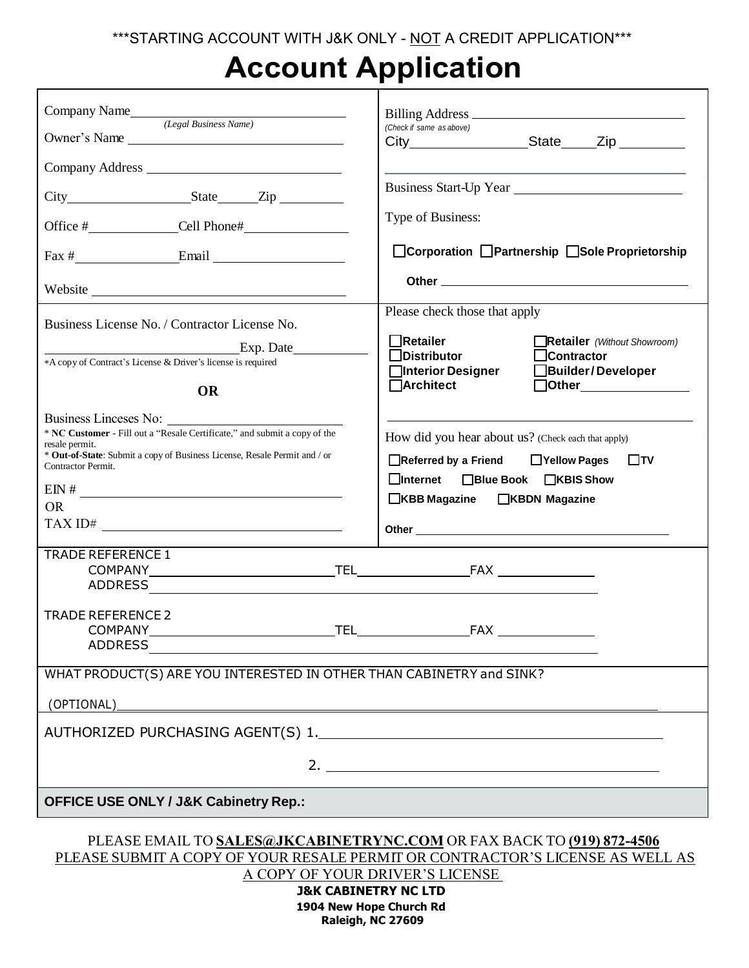## **Account Application**

| Company Name<br>(Legal Business Name)                                                                                                                                                                                                                                                                        | Billing Address<br>(Check if same as above)                                                                                                                                                   |
|--------------------------------------------------------------------------------------------------------------------------------------------------------------------------------------------------------------------------------------------------------------------------------------------------------------|-----------------------------------------------------------------------------------------------------------------------------------------------------------------------------------------------|
| Owner's Name                                                                                                                                                                                                                                                                                                 | City_________________________State______Zip ___________                                                                                                                                       |
|                                                                                                                                                                                                                                                                                                              |                                                                                                                                                                                               |
|                                                                                                                                                                                                                                                                                                              | Business Start-Up Year                                                                                                                                                                        |
|                                                                                                                                                                                                                                                                                                              | Type of Business:                                                                                                                                                                             |
| $\text{Fax } \#$ Email Email                                                                                                                                                                                                                                                                                 | □ Corporation □ Partnership □ Sole Proprietorship                                                                                                                                             |
|                                                                                                                                                                                                                                                                                                              |                                                                                                                                                                                               |
| Business License No. / Contractor License No.                                                                                                                                                                                                                                                                | Please check those that apply                                                                                                                                                                 |
| Exp. Date                                                                                                                                                                                                                                                                                                    | Retailer<br>Retailer (Without Showroom)                                                                                                                                                       |
| *A copy of Contract's License & Driver's license is required                                                                                                                                                                                                                                                 | $\Box$ Distributor<br>$\Box$ Contractor<br>□Interior Designer<br>Builder/Developer                                                                                                            |
| <b>OR</b>                                                                                                                                                                                                                                                                                                    | <b>∩Architect</b><br>$\Box$ Other                                                                                                                                                             |
| Business Linceses No:<br>* NC Customer - Fill out a "Resale Certificate," and submit a copy of the<br>resale permit.<br>* Out-of-State: Submit a copy of Business License, Resale Permit and / or<br>Contractor Permit.<br>$\frac{1}{2}$ EIN #<br><b>OR</b><br><b>TRADE REFERENCE 1</b><br>TRADE REFERENCE 2 | How did you hear about us? (Check each that apply)<br>□Referred by a Friend □ Yellow Pages<br>$\Box$ TV<br>□Internet □Blue Book □KBIS Show<br>□KBB Magazine □KBDN Magazine<br><b>TELENTER</b> |
| <b>ADDRESS</b>                                                                                                                                                                                                                                                                                               |                                                                                                                                                                                               |
| WHAT PRODUCT(S) ARE YOU INTERESTED IN OTHER THAN CABINETRY and SINK?                                                                                                                                                                                                                                         |                                                                                                                                                                                               |
| (OPTIONAL)                                                                                                                                                                                                                                                                                                   |                                                                                                                                                                                               |
|                                                                                                                                                                                                                                                                                                              |                                                                                                                                                                                               |
| 2. $\qquad \qquad$                                                                                                                                                                                                                                                                                           |                                                                                                                                                                                               |
| <b>OFFICE USE ONLY / J&amp;K Cabinetry Rep.:</b>                                                                                                                                                                                                                                                             |                                                                                                                                                                                               |
| PLEASE EMAIL TO SALES@JKCABINETRYNC.COM OR FAX BACK TO (919) 872-4506<br>PLEASE SUBMIT A COPY OF YOUR RESALE PERMIT OR CONTRACTOR'S LICENSE AS WELL AS<br>A COPY OF YOUR DRIVER'S LICENSE<br><b>J&amp;K CABINETRY NC LTD</b><br>1904 New Hope Church Rd                                                      |                                                                                                                                                                                               |

**Raleigh, NC 27609**